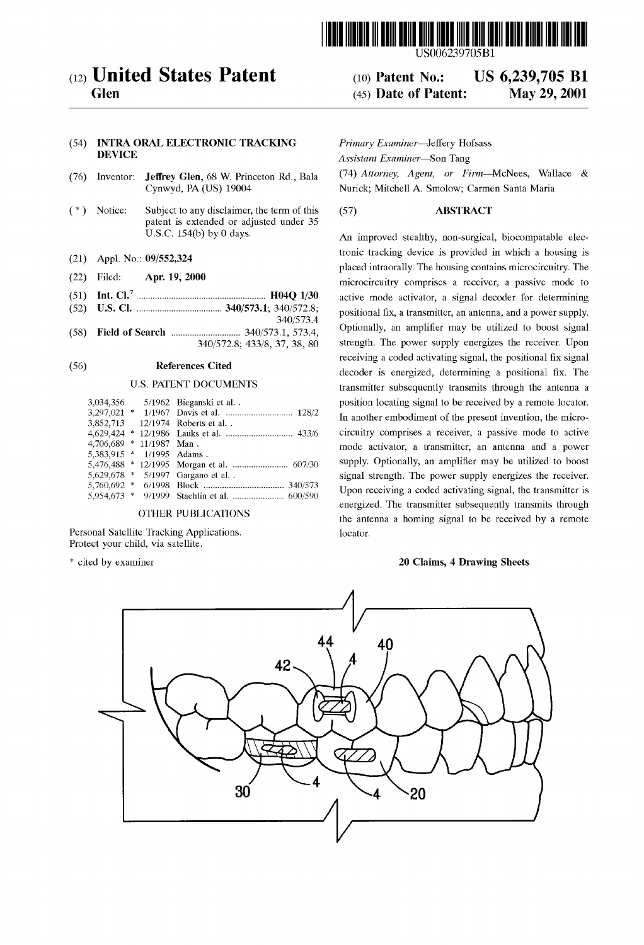

# (12) United States Patent (10) Patent No.: US 6,239,705 B1<br>Glen (45) Date of Patent: May 29, 2001

## (54) INTRA ORAL ELECTRONIC TRACKING Primary Examiner—Jeffery Hofsass<br>DEVICE Assistant Evantion See Track

- 
- (\*) Notice: Subject to any disclaimer, the term of this (57) ABSTRACT patent is extended or adjusted under 35<br>U.S.C. 154(b) by 0 days.
- 
- 
- 
- 
- (58) Field of Search .............................. 340/573.1, 5734, Optionally, an amplifier may be utilized to boost signal

#### U.S. PATENT DOCUMENTS

| 3,034,356   |                 | 5/1962 Bieganski et al          |
|-------------|-----------------|---------------------------------|
|             |                 |                                 |
| 3,852,713   |                 | 12/1974 Roberts et al. .        |
| 4,629,424   |                 |                                 |
| 4,706,689   | $*11/1987$ Man. |                                 |
| 5.383.915 * | 1/1995 Adams.   |                                 |
|             |                 |                                 |
| 5,629,678 * |                 | $5/1997$ Gargano et al          |
| 5,760,692 * |                 |                                 |
| 5,954,673 * |                 | 9/1999 Staehlin et al.  600/590 |
|             |                 |                                 |

## OTHER PUBLICATIONS

Personal Satellite Tracking Applications. Protect your child, via satellite.

\* cited by examiner

Assistant Examiner-Son Tang

 $(45)$  Date of Patent:

(76) Inventor: **Jeffrey Glen**, 68 W. Princeton Rd., Bala (74) Attorney, Agent, or Firm—McNees, Wallace & Cynwyd, PA (US) 19004 Nurick; Mitchell A. Smolow; Carmen Santa Maria Nurick; Mitchell A. Smolow; Carmen Santa Maria

An improved stealthy, non-surgical, biocompatable elec-(21) Appl. No.: 09/552,324 tronic tracking device is provided in which a housing is placed intraorally. The housing contains microcircuitry. The (22) Filed: Apr. 19, 2000 microcircuitry comprises a receiver, a passive mode to (51) Int. Cl.' ....................................................... H04Q 1/30 active mode activator, s a signal 9. decoder for determinin 9.  $(340/572.8;$  positional fix, a transmitter, an antenna, and a power supply.<br>340/573.4 Dptionally, an amplifier may be utilized to boost signal 340/572.8; 433/8, 37,38, 80 Strength. The power Supply energizes the receiver. Upon receiving a coded activating signal, the positional fix signal (56) References Cited activation of the References Cited activation of the References Cited activation of the References Cited activation of the References Cit decoder is energized, determining a positional fiX. The transmitter Subsequently transmits through the antenna a position locating signal to be received by a remote locator. In another embodiment of the present invention, the micro circuitry comprises a receiver, a passive mode to active mode activator, a transmitter, an antenna and a power supply. Optionally, an amplifier may be utilized to boost signal strength. The power supply energizes the receiver. Upon receiving a coded activating signal, the transmitter is energized. The transmitter subsequently transmits through the antenna a homing signal to be received by a remote locator.

#### 20 Claims, 4 Drawing Sheets

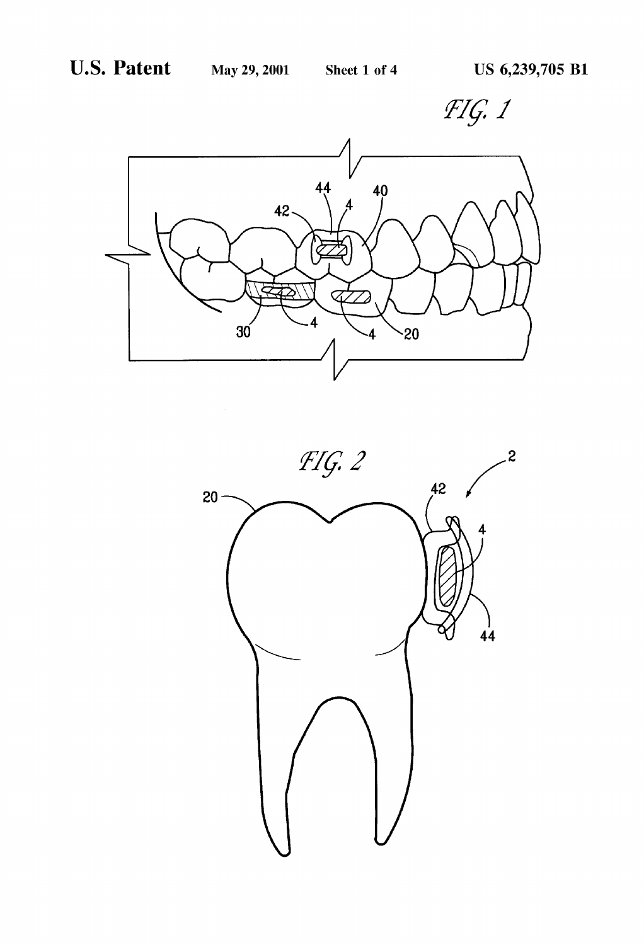

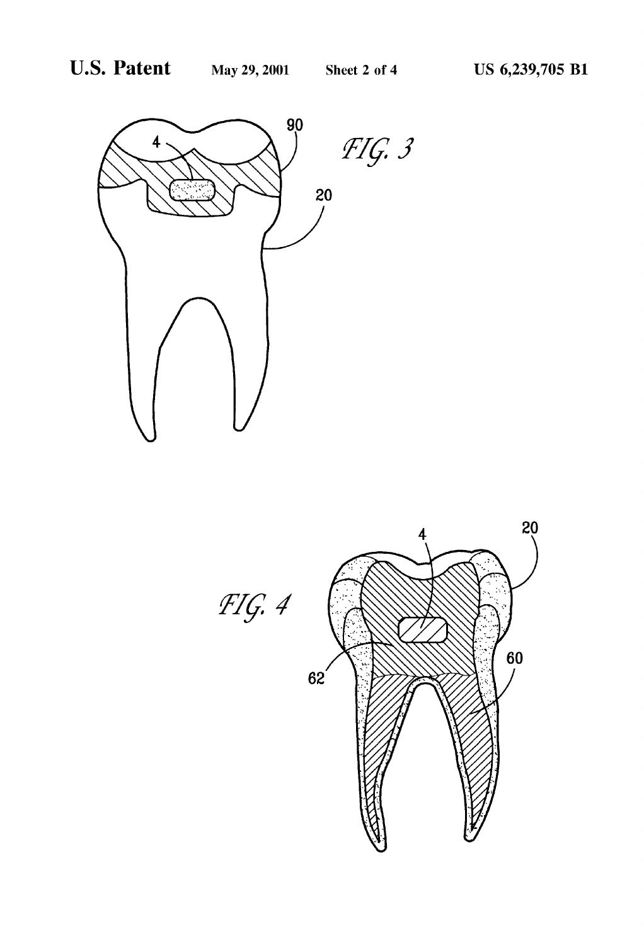

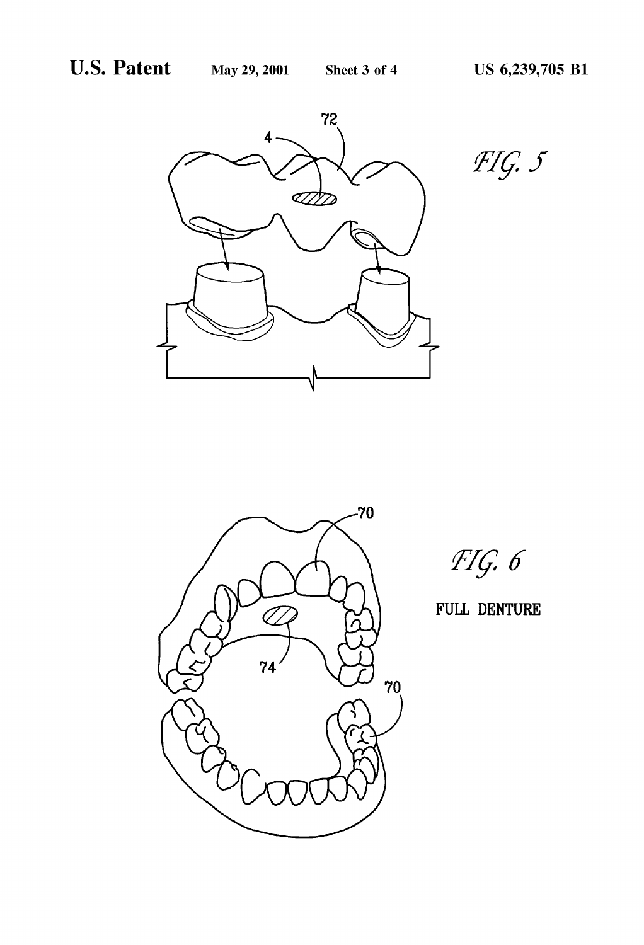FIG. 5



 $-70$  $74$  $70$ 

FIG. 6

FULL DENTURE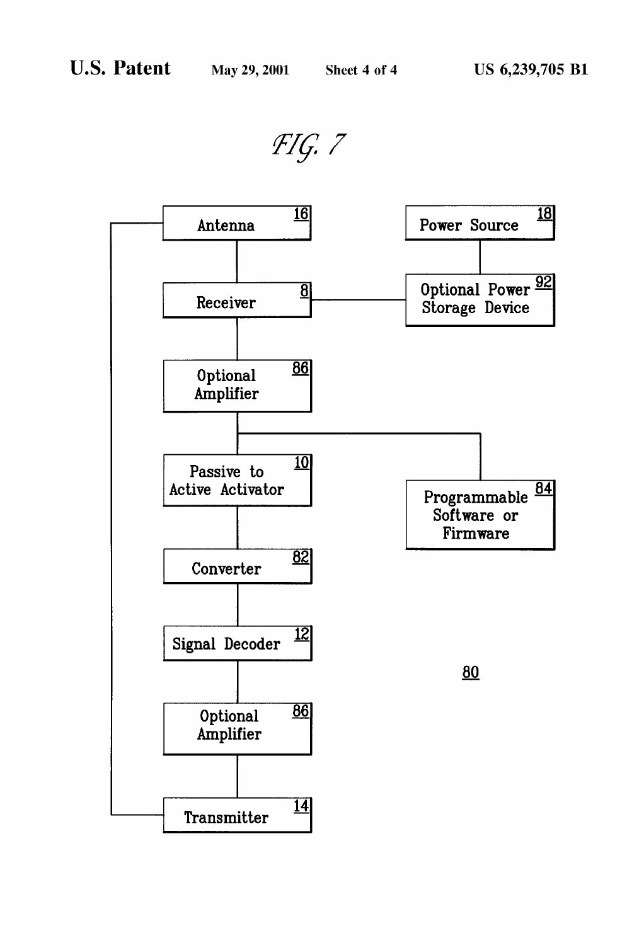FIG. 7

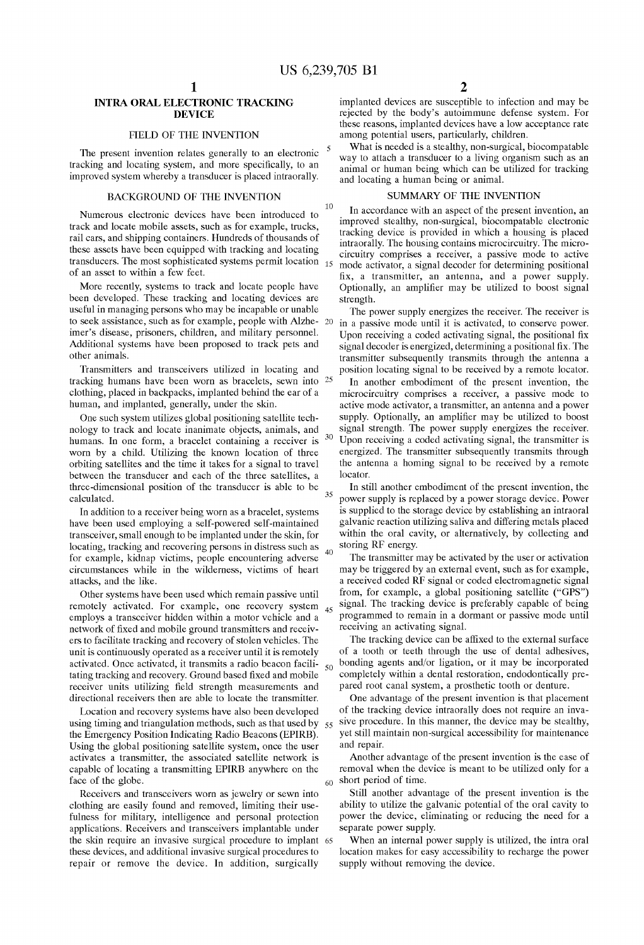$10$ 

35

40

50

## INTRA ORAL ELECTRONIC TRACKING DEVICE

#### FIELD OF THE INVENTION

The present invention relates generally to an electronic tracking and locating System, and more Specifically, to an improved System whereby a transducer is placed intraorally.

## BACKGROUND OF THE INVENTION

Numerous electronic devices have been introduced to track and locate mobile assets, Such as for example, trucks, rail cars, and shipping containers. Hundreds of thousands of these assets have been equipped with tracking and locating transducers. The most sophisticated systems permit location  $_{15}$ of an asset to within a few feet.

More recently, Systems to track and locate people have been developed. These tracking and locating devices are useful in managing persons who may be incapable or unable to seek assistance, such as for example, people with Alzhe- 20 imer's disease, prisoners, children, and military personnel. Additional Systems have been proposed to track pets and other animals.

Transmitters and transceivers utilized in locating and tracking humans have been worn as bracelets, sewn into <sup>25</sup> clothing, placed in backpacks, implanted behind the ear of a human, and implanted, generally, under the skin.

One such system utilizes global positioning satellite technology to track and locate inanimate objects, animals, and 30 humans. In one form, a bracelet containing a receiver is worn by a child. Utilizing the known location of three orbiting Satellites and the time it takes for a signal to travel between the transducer and each of the three Satellites, a three-dimensional position of the transducer is able to be calculated.

In addition to a receiver being worn as a bracelet, systems have been used employing a self-powered self-maintained transceiver, Small enough to be implanted under the skin, for locating, tracking and recovering persons in distress such as for example, kidnap victims, people encountering adverse circumstances while in the wilderness, Victims of heart attacks, and the like.

Other Systems have been used which remain passive until remotely activated. For example, one recovery system <sub>45</sub> employs a transceiver hidden within a motor vehicle and a network of fixed and mobile ground transmitters and receiv ers to facilitate tracking and recovery of Stolen vehicles. The unit is continuously operated as a receiver until it is remotely activated. Once activated, it transmits a radio beacon facili tating tracking and recovery. Ground based fixed and mobile receiver units utilizing field Strength measurements and directional receivers then are able to locate the transmitter.

Location and recovery Systems have also been developed using timing and triangulation methods, such as that used by  $55$ the Emergency Position Indicating Radio Beacons (EPIRB). Using the global positioning satellite system, once the user activates a transmitter, the associated Satellite network is capable of locating a transmitting EPIRB anywhere on the face of the globe.

Receivers and transceivers worn as jewelry or sewn into clothing are easily found and removed, limiting their use fulness for military, intelligence and personal protection applications. Receivers and transceivers implantable under the Skin require an invasive Surgical procedure to implant 65 these devices, and additional invasive surgical procedures to repair or remove the device. In addition, surgically

implanted devices are susceptible to infection and may be rejected by the body's autoimmune defense system. For these reasons, implanted devices have a low acceptance rate among potential users, particularly, children.

What is needed is a stealthy, non-surgical, biocompatable way to attach a transducer to a living organism such as an animal or human being which can be utilized for tracking and locating a human being or animal.

#### SUMMARY OF THE INVENTION

In accordance with an aspect of the present invention, an improved Stealthy, non-Surgical, biocompatable electronic tracking device is provided in which a housing is placed intraorally. The housing contains microcircuitry. The micro circuitry comprises a receiver, a passive mode to active fix, a transmitter, an antenna, and a power supply. Optionally, an amplifier may be utilized to boost signal strength.

The power supply energizes the receiver. The receiver is in a passive mode until it is activated, to conserve power. Upon receiving a coded activating signal, the positional fix signal decoder is energized, determining a positional fix. The transmitter Subsequently transmits through the antenna a position locating Signal to be received by a remote locator.

In another embodiment of the present invention, the microcircuitry comprises a receiver, a passive mode to active mode activator, a transmitter, an antenna and a power supply. Optionally, an amplifier may be utilized to boost signal strength. The power supply energizes the receiver. Upon receiving a coded activating signal, the transmitter is energized. The transmitter subsequently transmits through the antenna a homing signal to be received by a remote locator.

In still another embodiment of the present invention, the power Supply is replaced by a power Storage device. Power is supplied to the storage device by establishing an intraoral galvanic reaction utilizing saliva and differing metals placed within the oral cavity, or alternatively, by collecting and storing RF energy.

The transmitter may be activated by the user or activation may be triggered by an external event, Such as for example, a received coded RF signal or coded electromagnetic signal from, for example, a global positioning satellite ("GPS") signal. The tracking device is preferably capable of being programmed to remain in a dormant or passive mode until receiving an activating signal.

The tracking device can be affixed to the external surface of a tooth or teeth through the use of dental adhesives, bonding agents and/or ligation, or it may be incorporated completely within a dental restoration, endodontically pre pared root canal System, a prosthetic tooth or denture.

One advantage of the present invention is that placement of the tracking device intraorally does not require an inva sive procedure. In this manner, the device may be stealthy, yet still maintain non-Surgical accessibility for maintenance and repair.

60 Another advantage of the present invention is the ease of removal when the device is meant to be utilized only for a short period of time.

Still another advantage of the present invention is the ability to utilize the galvanic potential of the oral cavity to power the device, eliminating or reducing the need for a separate power supply.

When an internal power Supply is utilized, the intra oral location makes for easy accessibility to recharge the power supply without removing the device.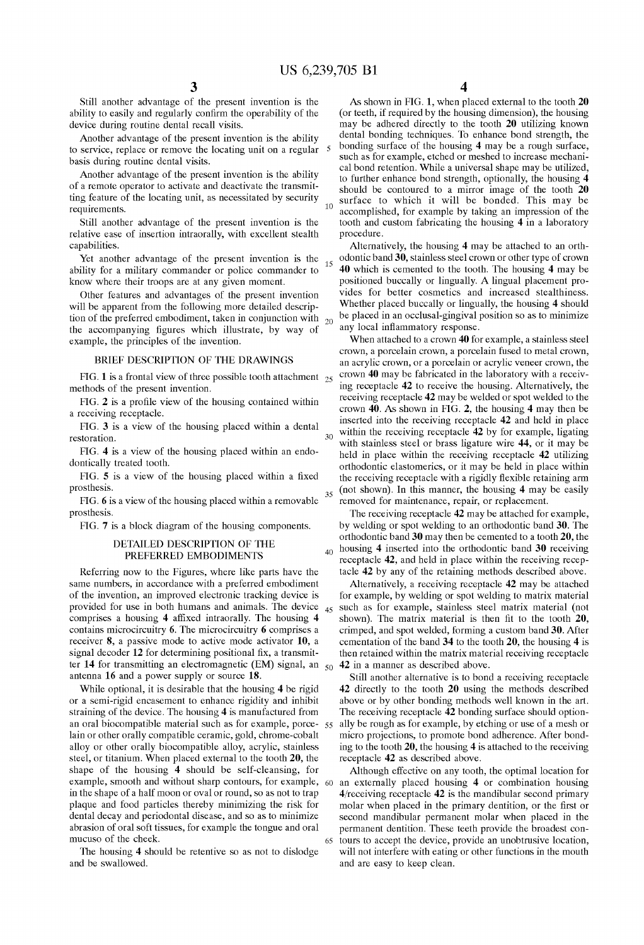15

35

60

65

Still another advantage of the present invention is the ability to easily and regularly confirm the operability of the device during routine dental recall visits.

Another advantage of the present invention is the ability<br>service replace or remove the locating unit on a regular. 5 to Service, replace or remove the locating unit on a regular basis during routine dental visits.

Another advantage of the present invention is the ability of a remote operator to activate and deactivate the transmit ting feature of the locating unit, as necessitated by Security requirements.

Still another advantage of the present invention is the relative ease of insertion intraorally, with excellent stealth capabilities.

Yet another advantage of the present invention is the ability for a military commander or police commander to know where their troops are at any given moment.

Other features and advantages of the present invention will be apparent from the following more detailed descrip tion of the preferred embodiment, taken in conjunction with  $_{20}$ the accompanying figures which illustrate, by way of example, the principles of the invention.

#### BRIEF DESCRIPTION OF THE DRAWINGS

FIG. **I** is a frontal view of three possible tooth attachment  $25$ methods of the present invention.

FIG. 2 is a profile view of the housing contained within a receiving receptacle.

FIG. 3 is a view of the housing placed within a dental  $\frac{1}{30}$ restoration.

FIG. 4 is a view of the housing placed within an endo dontically treated tooth.

FIG. 5 is a view of the housing placed within a fixed prosthesis.

FIG. 6 is a view of the housing placed within a removable prosthesis.

FIG. 7 is a block diagram of the housing components.

## DETAILED DESCRIPTION OF THE PREFERRED EMBODIMENTS

Referring now to the Figures, where like parts have the same numbers, in accordance with a preferred embodiment of the invention, an improved electronic tracking device is provided for use in both humans and animals. The device comprises a housing 4 affixed intraorally. The housing 4 contains microcircuitry 6. The microcircuitry 6 comprises a receiver 8, a passive mode to active mode activator 10, a signal decoder 12 for determining positional fix, a transmitter 14 for transmitting an electromagnetic (EM) signal, an  $_{50}$ antenna 16 and a power Supply or Source 18.

While optional, it is desirable that the housing 4 be rigid or a Semi-rigid encasement to enhance rigidity and inhibit straining of the device. The housing 4 is manufactured from an oral biocompatible material such as for example, porce- 55 lain or other orally compatible ceramic, gold, chrome-cobalt alloy or other orally biocompatible alloy, acrylic, stainless steel, or titanium. When placed external to the tooth 20, the shape of the housing 4 should be Self-cleansing, for example, smooth and without sharp contours, for example, in the shape of a half moon or oval or round, so as not to trap plaque and food particles thereby minimizing the risk for dental decay and periodontal disease, and so as to minimize abrasion of oral soft tissues, for example the tongue and oral mucuso of the cheek.

The housing 4 should be retentive so as not to dislodge and be Swallowed.

4

As shown in FIG. 1, when placed external to the tooth 20 (or teeth, if required by the housing dimension), the housing may be adhered directly to the tooth 20 utilizing known dental bonding techniques. To enhance bond Strength, the bonding surface of the housing 4 may be a rough surface, such as for example, etched or meshed to increase mechanical bond retention. While a universal shape may be utilized, to further enhance bond strength, optionally, the housing 4 should be contoured to a mirror image of the tooth 20 surface to which it will be bonded. This may be accomplished, for example by taking an impression of the tooth and custom fabricating the housing 4 in a laboratory procedure.

Alternatively, the housing 4 may be attached to an orth odontic band 30, stainless steel crown or other type of crown 40 which is cemented to the tooth. The housing 4 may be positioned buccally or lingually. A lingual placement pro vides for better cosmetics and increased Stealthiness. Whether placed buccally or lingually, the housing 4 should be placed in an occlusal-gingival position so as to minimize any local inflammatory response.

When attached to a crown 40 for example, a stainless steel crown, a porcelain crown, a porcelain fused to metal crown, an acrylic crown, or a porcelain or acrylic veneer crown, the crown 40 may be fabricated in the laboratory with a receiv ing receptacle 42 to receive the housing. Alternatively, the receiving receptacle 42 may be welded or Spot welded to the crown 40. As shown in FIG. 2, the housing 4 may then be inserted into the receiving receptacle  $42$  and held in place within the receiving receptacle  $\overline{42}$  by for example, ligating with stainless steel or brass ligature wire 44, or it may be held in place within the receiving receptacle 42 utilizing orthodontic elastomerics, or it may be held in place within the receiving receptacle with a rigidly flexible retaining arm (not shown). In this manner, the housing 4 may be easily removed for maintenance, repair, or replacement.

 $_{40}$  housing 4 inserted into the orthodontic band 30 receiving The receiving receptacle 42 may be attached for example, by welding or spot welding to an orthodontic band 30. The orthodontic band 30 may then be cemented to a tooth 20, the receptacle 42, and held in place within the receiving receptacle 42 by any of the retaining methods described above.

45 Such as for example, stainless Steel matrix material (not Alternatively, a receiving receptacle 42 may be attached for example, by welding or spot welding to matrix material shown). The matrix material is then fit to the tooth  $20$ , crimped, and spot welded, forming a custom band  $30$ . After cementation of the band 34 to the tooth 20, the housing 4 is then retained within the matrix material receiving receptacle 42 in a manner as described above.

Still another alternative is to bond a receiving receptacle 42 directly to the tooth 20 using the methods described above or by other bonding methods well known in the art. The receiving receptacle 42 bonding surface should optionally be rough as for example, by etching or use of a mesh or micro projections, to promote bond adherence. After bond ing to the tooth 20, the housing 4 is attached to the receiving receptacle 42 as described above.

Although effective on any tooth, the optimal location for an externally placed housing 4 or combination housing  $4$ /receiving receptacle  $42$  is the mandibular second primary molar when placed in the primary dentition, or the first or second mandibular permanent molar when placed in the permanent dentition. These teeth provide the broadest con tours to accept the device, provide an unobtrusive location, will not interfere with eating or other functions in the mouth and are easy to keep clean.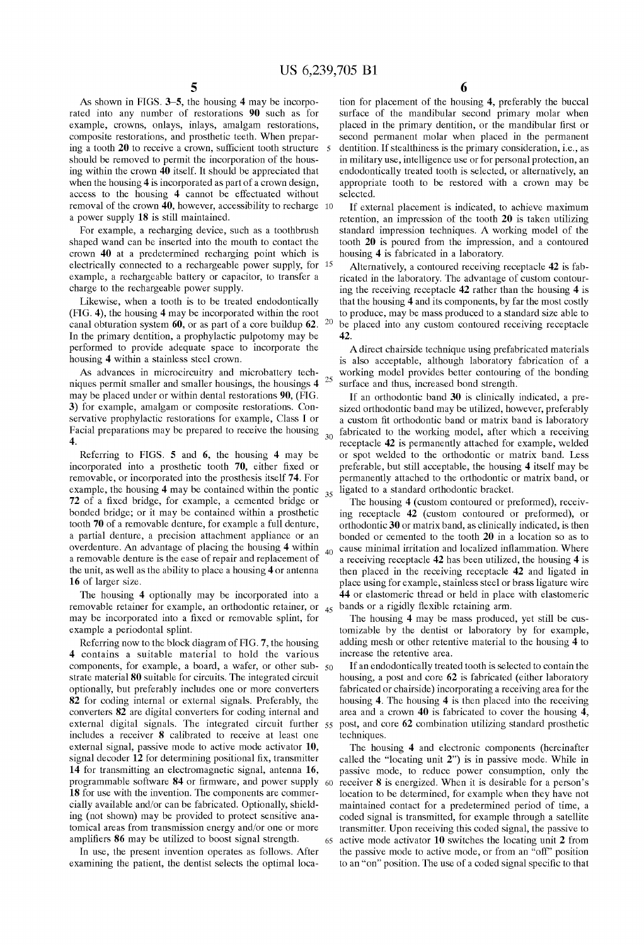25

60

65

As shown in FIGS. 3-5, the housing 4 may be incorpo rated into any number of restorations 90 such as for example, crowns, onlays, inlays, amalgam restorations, composite restorations, and prosthetic teeth. When prepar ing a tooth 20 to receive a crown, Sufficient tooth Structure should be removed to permit the incorporation of the hous ing within the crown 40 itself. It should be appreciated that when the housing 4 is incorporated as part of a crown design, access to the housing 4 cannot be effectuated without removal of the crown  $\overline{40}$ , however, accessibility to recharge 10 a power Supply 18 is still maintained.

For example, a recharging device, Such as a toothbrush shaped wand can be inserted into the mouth to contact the crown 40 at a predetermined recharging point which is electrically connected to a rechargeable power Supply, for 15 example, a rechargeable battery or capacitor, to transfer a charge to the rechargeable power Supply.

Likewise, when a tooth is to be treated endodontically (FIG. 4), the housing 4 may be incorporated within the root canal obturation system 60 or as part of a core buildup 62  $^{20}$ canal obturation system 60, or as part of a core buildup 62. In the primary dentition, a prophylactic pulpotomy may be performed to provide adequate Space to incorporate the housing 4 within a stainless steel crown.

As advances in microcircuitry and microbattery techniques permit smaller and smaller housings, the housings 4 may be placed under or within dental restorations 90, (FIG. 3) for example, amalgam or composite restorations. Conservative prophylactic restorations for example, Class I or Facial preparations may be prepared to receive the housing  $\frac{1}{20}$ 4.

Referring to FIGS. 5 and 6, the housing 4 may be incorporated into a prosthetic tooth 70, either fixed or removable, or incorporated into the prosthesis itself 74. For example, the housing 4 may be contained within the pontic 72 of a fixed bridge, for example, a cemented bridge or bonded bridge, or it may be contained within a prosthetic tooth 70 of a removable denture, for example a full denture, a partial denture, a precision attachment appliance or an overdenture. An advantage of placing the housing 4 within a removable denture is the ease of repair and replacement of the unit, as well as the ability to place a housing 4 or antenna 16 of larger size. 35 40

The housing 4 optionally may be incorporated into a removable retainer for example, an orthodontic retainer, or  $_{45}$ may be incorporated into a fixed or removable splint, for example a periodontal splint.

Referring now to the block diagram of FIG. 7, the housing 4 contains a Suitable material to hold the various components, for example, a board, a wafer, or other sub-  $50$ strate material 80 suitable for circuits. The integrated circuit optionally, but preferably includes one or more converters 82 for coding internal or external signals. Preferably, the converters 82 are digital converters for coding internal and external digital signals. The integrated circuit further 55 includes a receiver 8 calibrated to receive at least one external signal, passive mode to active mode activator 10, signal decoder 12 for determining positional fix, transmitter 14 for transmitting an electromagnetic signal, antenna 16, programmable Software 84 or firmware, and power Supply 18 for use with the invention. The components are commer cially available and/or can be fabricated. Optionally, shield ing (not shown) may be provided to protect sensitive anatomical areas from transmission energy and/or one or more amplifiers 86 may be utilized to boost signal Strength.

In use, the present invention operates as follows. After examining the patient, the dentist selects the optimal loca-

tion for placement of the housing 4, preferably the buccal surface of the mandibular second primary molar when placed in the primary dentition, or the mandibular first or second permanent molar when placed in the permanent dentition. If stealthiness is the primary consideration, i.e., as in military use, intelligence use or for personal protection, an endodontically treated tooth is Selected, or alternatively, an appropriate tooth to be restored with a crown may be Selected.

If external placement is indicated, to achieve maximum<br>retention, an impression of the tooth  $20$  is taken utilizing standard impression techniques. A working model of the tooth 20 is poured from the impression, and a contoured housing 4 is fabricated in a laboratory.

Alternatively, a contoured receiving receptacle 42 is fabricated in the laboratory. The advantage of custom contour ing the receiving receptacle 42 rather than the housing 4 is that the housing 4 and its components, by far the most costly to produce, may be mass produced to a Standard size able to be placed into any custom contoured receiving receptacle 42.

A direct chairside technique using prefabricated materials is also acceptable, although laboratory fabrication of a working model provides better contouring of the bonding surface and thus, increased bond strength.

If an orthodontic band 30 is clinically indicated, a presized orthodontic band may be utilized, however, preferably a custom fit orthodontic band or matrix band is laboratory fabricated to the working model, after which a receiving receptacle 42 is permanently attached for example, welded or spot welded to the orthodontic or matrix band. Less preferable, but still acceptable, the housing 4 itself may be permanently attached to the orthodontic or matrix band, or ligated to a Standard orthodontic bracket.

The housing 4 (custom contoured or preformed), receiv ing receptacle 42 (custom contoured or preformed), or orthodontic 30 or matrix band, as clinically indicated, is then bonded or cemented to the tooth 20 in a location so as to cause minimal irritation and localized inflammation. Where a receiving receptacle 42 has been utilized, the housing 4 is then placed in the receiving receptacle 42 and ligated in place using for example, stainless steel or brass ligature wire 44 or elastomeric thread or held in place with elastomeric bands or a rigidly flexible retaining arm.

The housing 4 may be mass produced, yet still be cus tomizable by the dentist or laboratory by for example, adding mesh or other retentive material to the housing 4 to increase the retentive area.

If an endodontically treated tooth is selected to contain the housing, a post and core  $62$  is fabricated (either laboratory fabricated or chairside) incorporating a receiving area for the housing 4. The housing 4 is then placed into the receiving area and a crown 40 is fabricated to cover the housing 4, post, and core 62 combination utilizing standard prosthetic techniques.

The housing 4 and electronic components (hereinafter called the "locating unit 2') is in passive mode. While in passive mode, to reduce power consumption, only the receiver 8 is energized. When it is desirable for a person's location to be determined, for example when they have not maintained contact for a predetermined period of time, a coded signal is transmitted, for example through a satellite transmitter. Upon receiving this coded signal, the passive to active mode activator 10 switches the locating unit 2 from the passive mode to active mode, or from an "off" position to an "on" position. The use of a coded signal Specific to that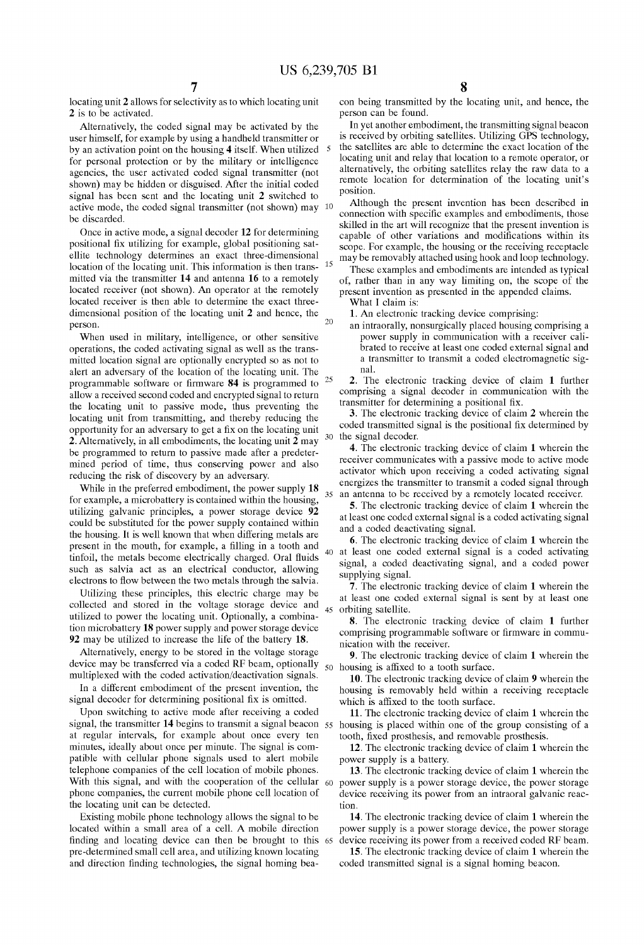$20^{\circ}$ 

locating unit 2 allows for selectivity as to which locating unit 2 is to be activated.

Alternatively, the coded Signal may be activated by the user himself, for example by using a handheld transmitter or<br>by an activation point on the bousing  $\vec{A}$  itself. When utilized 5 by an activation point on the housing 4 itself. When utilized for personal protection or by the military or intelligence agencies, the user activated coded signal transmitter (not shown) may be hidden or disguised. After the initial coded signal has been sent and the locating unit 2 switched to active mode, the coded signal transmitter (not shown) may 10 be discarded.

Once in active mode, a signal decoder 12 for determining positional fix utilizing for example, global positioning satellite technology determines an exact three-dimensional location of the locating unit. This information is then trans- <sup>15</sup> mitted via the transmitter 14 and antenna 16 to a remotely located receiver (not shown). An operator at the remotely located receiver is then able to determine the exact three dimensional position of the locating unit 2 and hence, the person.

When used in military, intelligence, or other sensitive operations, the coded activating signal as well as the transmitted location signal are optionally encrypted so as not to alert an adversary of the location of the locating unit. The programmable Software or firmware 84 is programmed to allow a received second coded and encrypted signal to return the locating unit to passive mode, thus preventing the locating unit from transmitting, and thereby reducing the opportunity for an adversary to get a fix on the locating unit 2. Alternatively, in all embodiments, the locating unit 2 may be programmed to return to passive made after a predeter-<br>mined period of time, thus conserving power and also reducing the risk of discovery by an adversary. 25

While in the preferred embodiment, the power supply 18 for example, a microbattery is contained within the housing, utilizing galvanic principles, a power storage device 92 could be substituted for the power supply contained within the housing. It is well known that when differing metals are present in the mouth, for example, a filling in a tooth and tinfoil, the metals become electrically charged. Oral fluids such as salvia act as an electrical conductor, allowing electrons to flow between the two metals through the salvia.

Utilizing these principles, this electric charge may be collected and stored in the voltage storage device and utilized to power the locating unit. Optionally, a combina tion microbattery 18 power Supply and power Storage device 92 may be utilized to increase the life of the battery 18.

Alternatively, energy to be stored in the voltage storage device may be transferred via a coded RF beam, optionally multiplexed with the coded activation/deactivation signals.

In a different embodiment of the present invention, the signal decoder for determining positional fix is omitted.

Upon Switching to active mode after receiving a coded Signal, the transmitter 14 begins to transmit a signal beacon 55 at regular intervals, for example about once every ten minutes, ideally about once per minute. The signal is compatible with cellular phone signals used to alert mobile telephone companies of the cell location of mobile phones. With this signal, and with the cooperation of the cellular phone companies, the current mobile phone cell location of the locating unit can be detected. 60

Existing mobile phone technology allows the signal to be located within a Small area of a cell. A mobile direction finding and locating device can then be brought to this 65 device receiving its power from a received coded RF beam. pre-determined Small cell area, and utilizing known locating and direction finding technologies, the signal homing bea-

con being transmitted by the locating unit, and hence, the person can be found.

In yet another embodiment, the transmitting signal beacon is received by orbiting satellites. Utilizing GPS technology, the Satellites are able to determine the exact location of the locating unit and relay that location to a remote operator, or alternatively, the orbiting Satellites relay the raw data to a remote location for determination of the locating unit's position.

Although the present invention has been described in connection with Specific examples and embodiments, those skilled in the art will recognize that the present invention is capable of other variations and modifications within its scope. For example, the housing or the receiving receptacle

may be removably attached using hook and loop technology.<br>These examples and embodiments are intended as typical of, rather than in any way limiting on, the scope of the present invention as presented in the appended claims. What I claim is:

1. An electronic tracking device comprising:

an intraorally, nonsurgically placed housing comprising a power Supply in communication with a receiver cali brated to receive at least one coded external Signal and a transmitter to transmit a coded electromagnetic signal.

2. The electronic tracking device of claim 1 further comprising a Signal decoder in communication with the transmitter for determining a positional fiX.

3. The electronic tracking device of claim 2 wherein the coded transmitted signal is the positional fix determined by 30 the signal decoder.

35 an antenna to be received by a remotely located receiver. 4. The electronic tracking device of claim 1 wherein the receiver communicates with a passive mode to active mode activator which upon receiving a coded activating signal energizes the transmitter to transmit a coded signal through

5. The electronic tracking device of claim 1 wherein the at least one coded external signal is a coded activating signal and a coded deactivating signal.

40 at least one coded external signal is a coded activating 6. The electronic tracking device of claim 1 wherein the signal, a coded deactivating signal, and a coded power supplying signal.

45 orbiting Satellite. 7. The electronic tracking device of claim 1 wherein the at least one coded external Signal is sent by at least one

8. The electronic tracking device of claim 1 further comprising programmable Software or firmware in commu nication with the receiver.

50 housing is affixed to a tooth Surface. 9. The electronic tracking device of claim 1 wherein the

10. The electronic tracking device of claim 9 wherein the housing is removably held within a receiving receptacle which is affixed to the tooth surface.

11. The electronic tracking device of claim 1 wherein the housing is placed within one of the group consisting of a tooth, fixed prosthesis, and removable prosthesis.

12. The electronic tracking device of claim 1 wherein the power Supply is a battery.

13. The electronic tracking device of claim 1 wherein the power Supply is a power Storage device, the power Storage device receiving its power from an intraoral galvanic reac tion.

14. The electronic tracking device of claim 1 wherein the power Supply is a power Storage device, the power Storage

15. The electronic tracking device of claim 1 wherein the coded transmitted signal is a signal homing beacon.